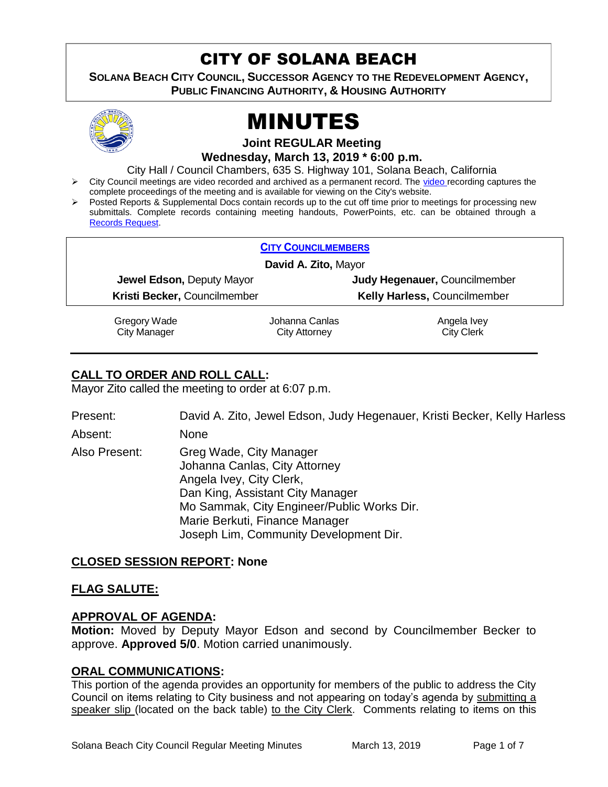# CITY OF SOLANA BEACH

**SOLANA BEACH CITY COUNCIL, SUCCESSOR AGENCY TO THE REDEVELOPMENT AGENCY, PUBLIC FINANCING AUTHORITY, & HOUSING AUTHORITY** 



# MINUTES

**Joint REGULAR Meeting**

**Wednesday, March 13, 2019 \* 6:00 p.m.**

City Hall / Council Chambers, 635 S. Highway 101, Solana Beach, California

- City Council meetings are [video r](https://solanabeach.12milesout.com/#page=1)ecorded and archived as a permanent record. The video recording captures the complete proceedings of the meeting and is available for viewing on the City's website.
- Posted Reports & Supplemental Docs contain records up to the cut off time prior to meetings for processing new submittals. Complete records containing meeting handouts, PowerPoints, etc. can be obtained through a [Records Request.](http://www.ci.solana-beach.ca.us/index.asp?SEC=F5D45D10-70CE-4291-A27C-7BD633FC6742&Type=B_BASIC)

| <b>CITY COUNCILMEMBERS</b>   |                |                                     |  |
|------------------------------|----------------|-------------------------------------|--|
| David A. Zito, Mayor         |                |                                     |  |
| Jewel Edson, Deputy Mayor    |                | Judy Hegenauer, Councilmember       |  |
| Kristi Becker, Councilmember |                | <b>Kelly Harless, Councilmember</b> |  |
| Gregory Wade                 | Johanna Canlas | Angela Ivey                         |  |

City Manager

Johanna Canlas City Attorney

City Clerk

# **CALL TO ORDER AND ROLL CALL:**

Mayor Zito called the meeting to order at 6:07 p.m.

| Present:      | David A. Zito, Jewel Edson, Judy Hegenauer, Kristi Becker, Kelly Harless                                                                                                                                                                           |
|---------------|----------------------------------------------------------------------------------------------------------------------------------------------------------------------------------------------------------------------------------------------------|
| Absent:       | <b>None</b>                                                                                                                                                                                                                                        |
| Also Present: | Greg Wade, City Manager<br>Johanna Canlas, City Attorney<br>Angela Ivey, City Clerk,<br>Dan King, Assistant City Manager<br>Mo Sammak, City Engineer/Public Works Dir.<br>Marie Berkuti, Finance Manager<br>Joseph Lim, Community Development Dir. |

# **CLOSED SESSION REPORT: None**

# **FLAG SALUTE:**

# **APPROVAL OF AGENDA:**

**Motion:** Moved by Deputy Mayor Edson and second by Councilmember Becker to approve. **Approved 5/0**. Motion carried unanimously.

# **ORAL COMMUNICATIONS:**

This portion of the agenda provides an opportunity for members of the public to address the City Council on items relating to City business and not appearing on today's agenda by submitting a speaker slip (located on the back table) to the City Clerk. Comments relating to items on this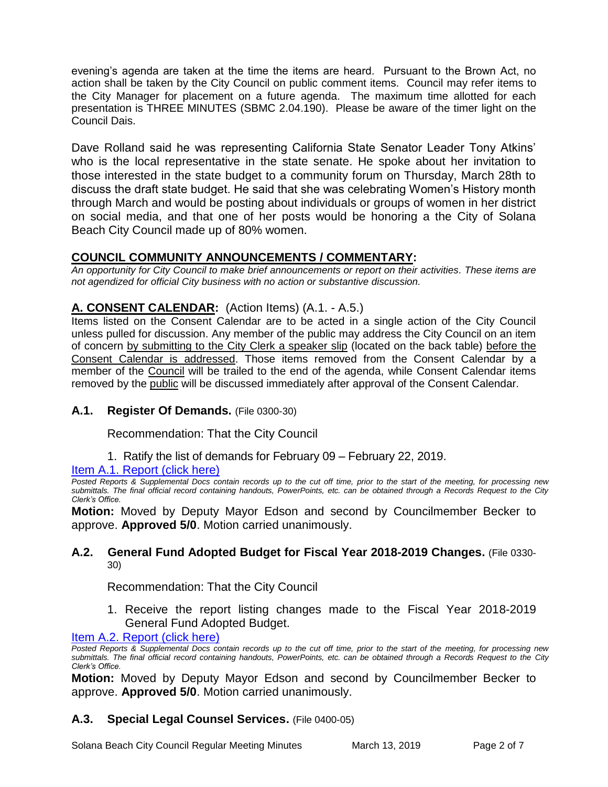evening's agenda are taken at the time the items are heard. Pursuant to the Brown Act, no action shall be taken by the City Council on public comment items. Council may refer items to the City Manager for placement on a future agenda. The maximum time allotted for each presentation is THREE MINUTES (SBMC 2.04.190). Please be aware of the timer light on the Council Dais.

Dave Rolland said he was representing California State Senator Leader Tony Atkins' who is the local representative in the state senate. He spoke about her invitation to those interested in the state budget to a community forum on Thursday, March 28th to discuss the draft state budget. He said that she was celebrating Women's History month through March and would be posting about individuals or groups of women in her district on social media, and that one of her posts would be honoring a the City of Solana Beach City Council made up of 80% women.

# **COUNCIL COMMUNITY ANNOUNCEMENTS / COMMENTARY:**

*An opportunity for City Council to make brief announcements or report on their activities. These items are not agendized for official City business with no action or substantive discussion.* 

# **A. CONSENT CALENDAR:** (Action Items) (A.1. - A.5.)

Items listed on the Consent Calendar are to be acted in a single action of the City Council unless pulled for discussion. Any member of the public may address the City Council on an item of concern by submitting to the City Clerk a speaker slip (located on the back table) before the Consent Calendar is addressed. Those items removed from the Consent Calendar by a member of the Council will be trailed to the end of the agenda, while Consent Calendar items removed by the public will be discussed immediately after approval of the Consent Calendar.

# **A.1. Register Of Demands.** (File 0300-30)

Recommendation: That the City Council

1. Ratify the list of demands for February 09 – February 22, 2019.

Item A.1. Report (click here)

*Posted Reports & Supplemental Docs contain records up to the cut off time, prior to the start of the meeting, for processing new submittals. The final official record containing handouts, PowerPoints, etc. can be obtained through a Records Request to the City Clerk's Office.*

**Motion:** Moved by Deputy Mayor Edson and second by Councilmember Becker to approve. **Approved 5/0**. Motion carried unanimously.

#### **A.2. General Fund Adopted Budget for Fiscal Year 2018-2019 Changes.** (File 0330- 30)

Recommendation: That the City Council

1. Receive the report listing changes made to the Fiscal Year 2018-2019 General Fund Adopted Budget.

#### [Item A.2. Report \(click here\)](https://solanabeach.govoffice3.com/vertical/Sites/%7B840804C2-F869-4904-9AE3-720581350CE7%7D/uploads/Item_A.2._Report_(click_here)_03-13-19.pdf)

*Posted Reports & Supplemental Docs contain records up to the cut off time, prior to the start of the meeting, for processing new submittals. The final official record containing handouts, PowerPoints, etc. can be obtained through a Records Request to the City Clerk's Office.*

**Motion:** Moved by Deputy Mayor Edson and second by Councilmember Becker to approve. **Approved 5/0**. Motion carried unanimously.

# **A.3. Special Legal Counsel Services.** (File 0400-05)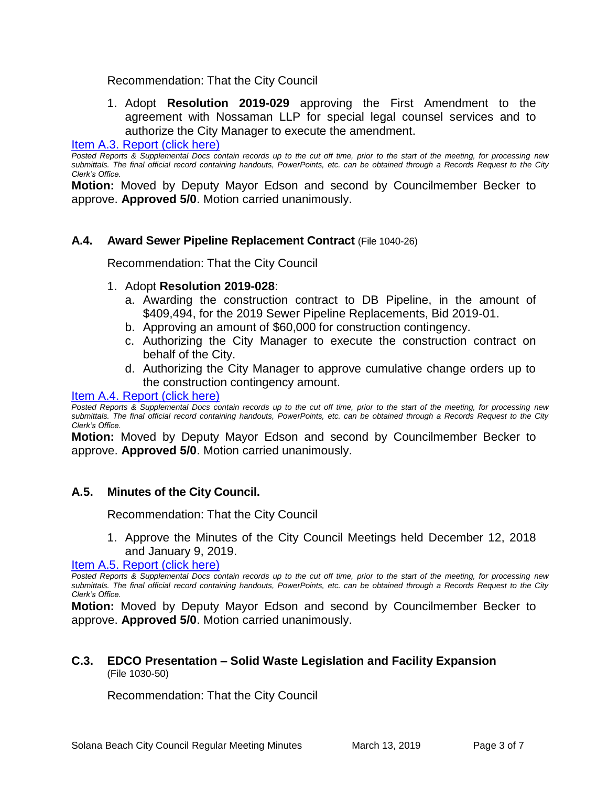#### Recommendation: That the City Council

1. Adopt **Resolution 2019-029** approving the First Amendment to the agreement with Nossaman LLP for special legal counsel services and to authorize the City Manager to execute the amendment.

#### [Item A.3. Report \(click here\)](https://solanabeach.govoffice3.com/vertical/Sites/%7B840804C2-F869-4904-9AE3-720581350CE7%7D/uploads/Item_A.3._Report_(click_here)_03-13-19.PDF)

*Posted Reports & Supplemental Docs contain records up to the cut off time, prior to the start of the meeting, for processing new submittals. The final official record containing handouts, PowerPoints, etc. can be obtained through a Records Request to the City Clerk's Office.*

**Motion:** Moved by Deputy Mayor Edson and second by Councilmember Becker to approve. **Approved 5/0**. Motion carried unanimously.

#### **A.4. Award Sewer Pipeline Replacement Contract** (File 1040-26)

Recommendation: That the City Council

#### 1. Adopt **Resolution 2019-028**:

- a. Awarding the construction contract to DB Pipeline, in the amount of \$409,494, for the 2019 Sewer Pipeline Replacements, Bid 2019-01.
- b. Approving an amount of \$60,000 for construction contingency.
- c. Authorizing the City Manager to execute the construction contract on behalf of the City.
- d. Authorizing the City Manager to approve cumulative change orders up to the construction contingency amount.

#### [Item A.4. Report \(click here\)](https://solanabeach.govoffice3.com/vertical/Sites/%7B840804C2-F869-4904-9AE3-720581350CE7%7D/uploads/Item_A.4._Report_(click_here)_03-13-19.PDF)

*Posted Reports & Supplemental Docs contain records up to the cut off time, prior to the start of the meeting, for processing new submittals. The final official record containing handouts, PowerPoints, etc. can be obtained through a Records Request to the City Clerk's Office.*

**Motion:** Moved by Deputy Mayor Edson and second by Councilmember Becker to approve. **Approved 5/0**. Motion carried unanimously.

# **A.5. Minutes of the City Council.**

Recommendation: That the City Council

1. Approve the Minutes of the City Council Meetings held December 12, 2018 and January 9, 2019.

[Item A.5. Report \(click here\)](https://solanabeach.govoffice3.com/vertical/Sites/%7B840804C2-F869-4904-9AE3-720581350CE7%7D/uploads/Item_A.5._Report_(click_here)_03-13-19.pdf) 

*Posted Reports & Supplemental Docs contain records up to the cut off time, prior to the start of the meeting, for processing new submittals. The final official record containing handouts, PowerPoints, etc. can be obtained through a Records Request to the City Clerk's Office.*

**Motion:** Moved by Deputy Mayor Edson and second by Councilmember Becker to approve. **Approved 5/0**. Motion carried unanimously.

#### **C.3. EDCO Presentation – Solid Waste Legislation and Facility Expansion**  (File 1030-50)

Recommendation: That the City Council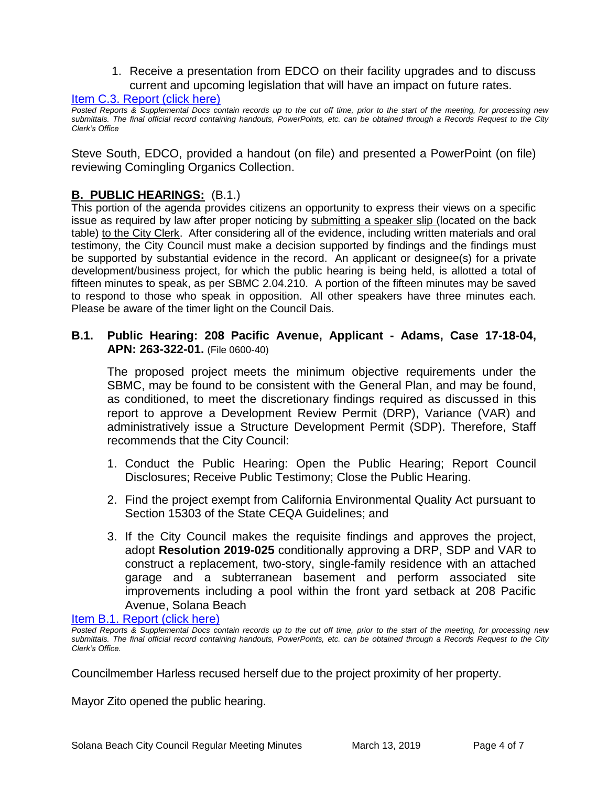1. Receive a presentation from EDCO on their facility upgrades and to discuss current and upcoming legislation that will have an impact on future rates.

#### [Item C.3. Report \(click here\)](https://solanabeach.govoffice3.com/vertical/Sites/%7B840804C2-F869-4904-9AE3-720581350CE7%7D/uploads/Item_C.3._Report_(click_here)_03-13-19.pdf)

*Posted Reports & Supplemental Docs contain records up to the cut off time, prior to the start of the meeting, for processing new submittals. The final official record containing handouts, PowerPoints, etc. can be obtained through a Records Request to the City Clerk's Office* 

Steve South, EDCO, provided a handout (on file) and presented a PowerPoint (on file) reviewing Comingling Organics Collection.

# **B. PUBLIC HEARINGS:** (B.1.)

This portion of the agenda provides citizens an opportunity to express their views on a specific issue as required by law after proper noticing by submitting a speaker slip (located on the back table) to the City Clerk. After considering all of the evidence, including written materials and oral testimony, the City Council must make a decision supported by findings and the findings must be supported by substantial evidence in the record. An applicant or designee(s) for a private development/business project, for which the public hearing is being held, is allotted a total of fifteen minutes to speak, as per SBMC 2.04.210. A portion of the fifteen minutes may be saved to respond to those who speak in opposition. All other speakers have three minutes each. Please be aware of the timer light on the Council Dais.

### **B.1. Public Hearing: 208 Pacific Avenue, Applicant - Adams, Case 17-18-04, APN: 263-322-01.** (File 0600-40)

The proposed project meets the minimum objective requirements under the SBMC, may be found to be consistent with the General Plan, and may be found, as conditioned, to meet the discretionary findings required as discussed in this report to approve a Development Review Permit (DRP), Variance (VAR) and administratively issue a Structure Development Permit (SDP). Therefore, Staff recommends that the City Council:

- 1. Conduct the Public Hearing: Open the Public Hearing; Report Council Disclosures; Receive Public Testimony; Close the Public Hearing.
- 2. Find the project exempt from California Environmental Quality Act pursuant to Section 15303 of the State CEQA Guidelines; and
- 3. If the City Council makes the requisite findings and approves the project, adopt **Resolution 2019-025** conditionally approving a DRP, SDP and VAR to construct a replacement, two-story, single-family residence with an attached garage and a subterranean basement and perform associated site improvements including a pool within the front yard setback at 208 Pacific Avenue, Solana Beach

[Item B.1. Report \(click](https://solanabeach.govoffice3.com/vertical/Sites/%7B840804C2-F869-4904-9AE3-720581350CE7%7D/uploads/Item_B.1._Report_(click_here)_03-13-19.PDF) here)

Councilmember Harless recused herself due to the project proximity of her property.

Mayor Zito opened the public hearing.

*Posted Reports & Supplemental Docs contain records up to the cut off time, prior to the start of the meeting, for processing new submittals. The final official record containing handouts, PowerPoints, etc. can be obtained through a Records Request to the City Clerk's Office.*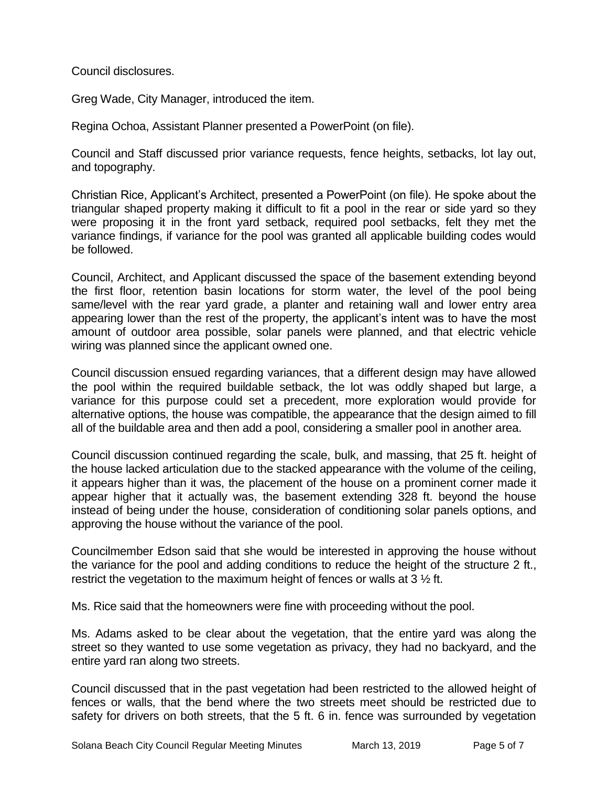Council disclosures.

Greg Wade, City Manager, introduced the item.

Regina Ochoa, Assistant Planner presented a PowerPoint (on file).

Council and Staff discussed prior variance requests, fence heights, setbacks, lot lay out, and topography.

Christian Rice, Applicant's Architect, presented a PowerPoint (on file). He spoke about the triangular shaped property making it difficult to fit a pool in the rear or side yard so they were proposing it in the front yard setback, required pool setbacks, felt they met the variance findings, if variance for the pool was granted all applicable building codes would be followed.

Council, Architect, and Applicant discussed the space of the basement extending beyond the first floor, retention basin locations for storm water, the level of the pool being same/level with the rear yard grade, a planter and retaining wall and lower entry area appearing lower than the rest of the property, the applicant's intent was to have the most amount of outdoor area possible, solar panels were planned, and that electric vehicle wiring was planned since the applicant owned one.

Council discussion ensued regarding variances, that a different design may have allowed the pool within the required buildable setback, the lot was oddly shaped but large, a variance for this purpose could set a precedent, more exploration would provide for alternative options, the house was compatible, the appearance that the design aimed to fill all of the buildable area and then add a pool, considering a smaller pool in another area.

Council discussion continued regarding the scale, bulk, and massing, that 25 ft. height of the house lacked articulation due to the stacked appearance with the volume of the ceiling, it appears higher than it was, the placement of the house on a prominent corner made it appear higher that it actually was, the basement extending 328 ft. beyond the house instead of being under the house, consideration of conditioning solar panels options, and approving the house without the variance of the pool.

Councilmember Edson said that she would be interested in approving the house without the variance for the pool and adding conditions to reduce the height of the structure 2 ft., restrict the vegetation to the maximum height of fences or walls at 3 ½ ft.

Ms. Rice said that the homeowners were fine with proceeding without the pool.

Ms. Adams asked to be clear about the vegetation, that the entire yard was along the street so they wanted to use some vegetation as privacy, they had no backyard, and the entire yard ran along two streets.

Council discussed that in the past vegetation had been restricted to the allowed height of fences or walls, that the bend where the two streets meet should be restricted due to safety for drivers on both streets, that the 5 ft. 6 in. fence was surrounded by vegetation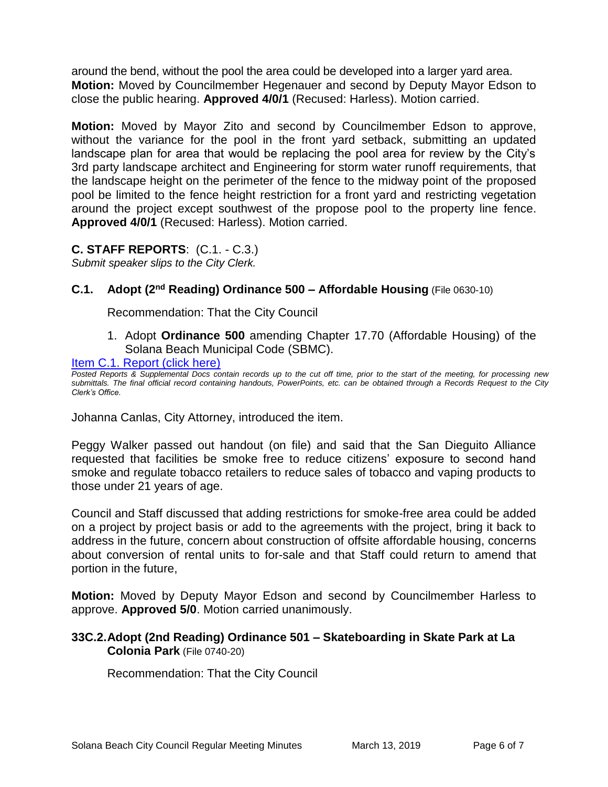around the bend, without the pool the area could be developed into a larger yard area. **Motion:** Moved by Councilmember Hegenauer and second by Deputy Mayor Edson to close the public hearing. **Approved 4/0/1** (Recused: Harless). Motion carried.

**Motion:** Moved by Mayor Zito and second by Councilmember Edson to approve, without the variance for the pool in the front yard setback, submitting an updated landscape plan for area that would be replacing the pool area for review by the City's 3rd party landscape architect and Engineering for storm water runoff requirements, that the landscape height on the perimeter of the fence to the midway point of the proposed pool be limited to the fence height restriction for a front yard and restricting vegetation around the project except southwest of the propose pool to the property line fence. **Approved 4/0/1** (Recused: Harless). Motion carried.

**C. STAFF REPORTS**: (C.1. - C.3.)

*Submit speaker slips to the City Clerk.*

# **C.1. Adopt (2<sup>nd</sup> Reading) Ordinance 500 – Affordable Housing (File 0630-10)**

Recommendation: That the City Council

1. Adopt **Ordinance 500** amending Chapter 17.70 (Affordable Housing) of the Solana Beach Municipal Code (SBMC).

[Item C.1. Report \(click here\)](https://solanabeach.govoffice3.com/vertical/Sites/%7B840804C2-F869-4904-9AE3-720581350CE7%7D/uploads/Item_C.1._Report_(click_here)_03-13-19.PDF) 

*Posted Reports & Supplemental Docs contain records up to the cut off time, prior to the start of the meeting, for processing new submittals. The final official record containing handouts, PowerPoints, etc. can be obtained through a Records Request to the City Clerk's Office.*

Johanna Canlas, City Attorney, introduced the item.

Peggy Walker passed out handout (on file) and said that the San Dieguito Alliance requested that facilities be smoke free to reduce citizens' exposure to second hand smoke and regulate tobacco retailers to reduce sales of tobacco and vaping products to those under 21 years of age.

Council and Staff discussed that adding restrictions for smoke-free area could be added on a project by project basis or add to the agreements with the project, bring it back to address in the future, concern about construction of offsite affordable housing, concerns about conversion of rental units to for-sale and that Staff could return to amend that portion in the future,

**Motion:** Moved by Deputy Mayor Edson and second by Councilmember Harless to approve. **Approved 5/0**. Motion carried unanimously.

# **33C.2.Adopt (2nd Reading) Ordinance 501 – Skateboarding in Skate Park at La Colonia Park** (File 0740-20)

Recommendation: That the City Council